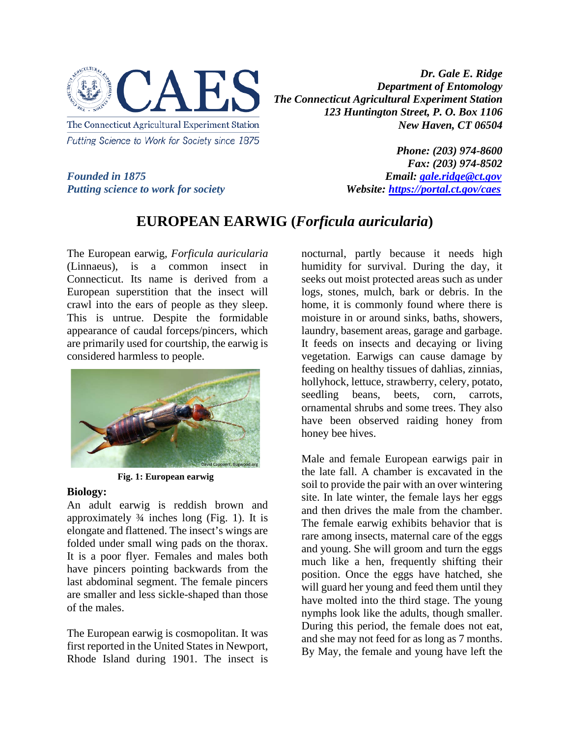

*Dr. Gale E. Ridge Department of Entomology The Connecticut Agricultural Experiment Station 123 Huntington Street, P. O. Box 1106 New Haven, CT 06504* 

*Putting science to work for society* 

*Phone: (203) 974-8600 Fax: (203) 974-8502 Founded in 1875*<br>*Putting science to work for society*<br>*Website: https://portal.ct.gov/caes* 

## **EUROPEAN EARWIG (***Forficula auricularia***)**

The European earwig, *Forficula auricularia* (Linnaeus), is a common insect in Connecticut. Its name is derived from a European superstition that the insect will crawl into the ears of people as they sleep. This is untrue. Despite the formidable appearance of caudal forceps/pincers, which are primarily used for courtship, the earwig is considered harmless to people.



**Fig. 1: European earwig**

## **Biology:**

An adult earwig is reddish brown and approximately ¾ inches long (Fig. 1). It is elongate and flattened. The insect's wings are folded under small wing pads on the thorax. It is a poor flyer. Females and males both have pincers pointing backwards from the last abdominal segment. The female pincers are smaller and less sickle-shaped than those of the males.

The European earwig is cosmopolitan. It was first reported in the United States in Newport, Rhode Island during 1901. The insect is nocturnal, partly because it needs high humidity for survival. During the day, it seeks out moist protected areas such as under logs, stones, mulch, bark or debris. In the home, it is commonly found where there is moisture in or around sinks, baths, showers, laundry, basement areas, garage and garbage. It feeds on insects and decaying or living vegetation. Earwigs can cause damage by feeding on healthy tissues of dahlias, zinnias, hollyhock, lettuce, strawberry, celery, potato, seedling beans, beets, corn, carrots, ornamental shrubs and some trees. They also have been observed raiding honey from honey bee hives.

Male and female European earwigs pair in the late fall. A chamber is excavated in the soil to provide the pair with an over wintering site. In late winter, the female lays her eggs and then drives the male from the chamber. The female earwig exhibits behavior that is rare among insects, maternal care of the eggs and young. She will groom and turn the eggs much like a hen, frequently shifting their position. Once the eggs have hatched, she will guard her young and feed them until they have molted into the third stage. The young nymphs look like the adults, though smaller. During this period, the female does not eat, and she may not feed for as long as 7 months. By May, the female and young have left the